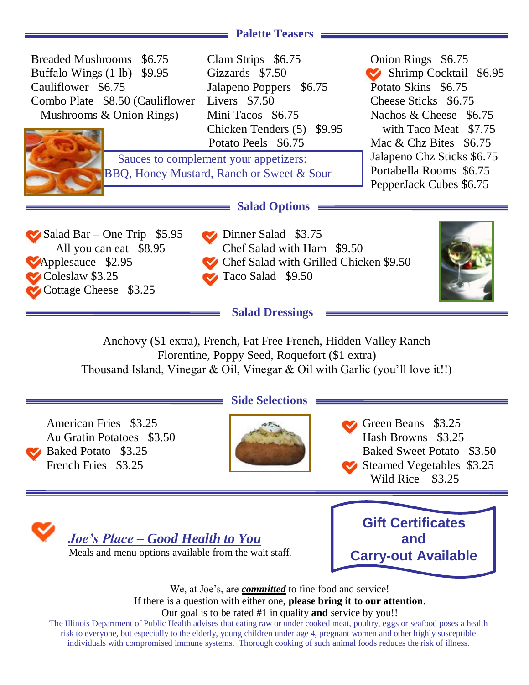# **Palette Teasers**

| Breaded Mushrooms \$6.75<br>Buffalo Wings $(1 \text{ lb})$ \$9.95<br>Cauliflower \$6.75<br>Combo Plate \$8.50 (Cauliflower<br>Mushrooms & Onion Rings) | Clam Strips \$6.75<br>Gizzards \$7.50<br>Jalapeno Poppers \$6.75<br>Livers \$7.50<br>Mini Tacos \$6.75<br>Chicken Tenders (5) \$9.95<br>Potato Peels \$6.75                   | Onion Rings \$6.75<br>Shrimp Cocktail \$6.95<br>Potato Skins \$6.75<br>Cheese Sticks \$6.75<br>Nachos & Cheese \$6.75<br>with Taco Meat \$7.75<br>Mac $& Chz \text{ Bites } $6.75$ |
|--------------------------------------------------------------------------------------------------------------------------------------------------------|-------------------------------------------------------------------------------------------------------------------------------------------------------------------------------|------------------------------------------------------------------------------------------------------------------------------------------------------------------------------------|
| Sauces to complement your appetizers:<br>BBQ, Honey Mustard, Ranch or Sweet & Sour                                                                     |                                                                                                                                                                               | Jalapeno Chz Sticks \$6.75<br>Portabella Rooms \$6.75<br>PepperJack Cubes \$6.75                                                                                                   |
| $\blacktriangleright$ Salad Bar – One Trip \$5.95<br>All you can eat \$8.95<br>Applesauce \$2.95<br>Coleslaw \$3.25<br>Cottage Cheese \$3.25           | $\equiv$ Salad Options $\equiv$<br>Dinner Salad \$3.75<br>Chef Salad with Ham \$9.50<br>Chef Salad with Grilled Chicken \$9.50<br>Taco Salad \$9.50<br><b>Salad Dressings</b> |                                                                                                                                                                                    |

Anchovy (\$1 extra), French, Fat Free French, Hidden Valley Ranch Florentine, Poppy Seed, Roquefort (\$1 extra) Thousand Island, Vinegar & Oil, Vinegar & Oil with Garlic (you'll love it!!)

Au Gratin Potatoes \$3.50 Hash Browns \$3.25

## **Side Selections**



American Fries \$3.25 Baked Potato \$3.25 Baked Sweet Potato \$3.50 French Fries \$3.25 Steamed Vegetables \$3.25 Wild Rice \$3.25



**Gift Certificates and Carry-out Available**

We, at Joe's, are *committed* to fine food and service! If there is a question with either one, **please bring it to our attention**.

### Our goal is to be rated #1 in quality **and** service by you!!

The Illinois Department of Public Health advises that eating raw or under cooked meat, poultry, eggs or seafood poses a health risk to everyone, but especially to the elderly, young children under age 4, pregnant women and other highly susceptible individuals with compromised immune systems. Thorough cooking of such animal foods reduces the risk of illness.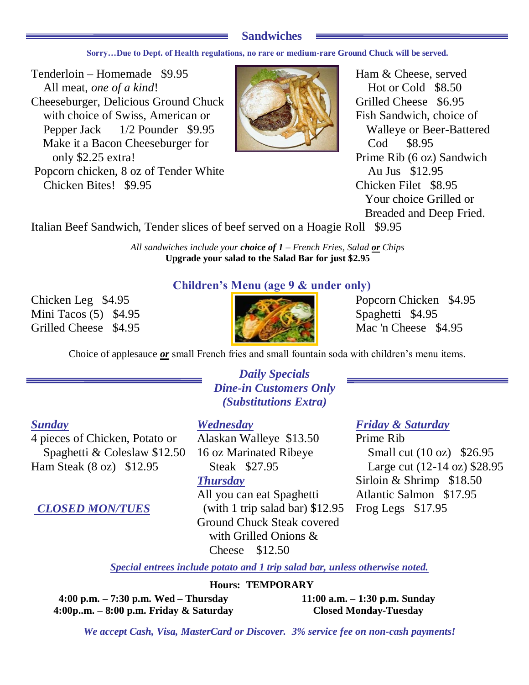# **Sandwiches**

**Sorry…Due to Dept. of Health regulations, no rare or medium-rare Ground Chuck will be served.**

Tenderloin – Homemade \$9.95 All meat, *one of a kind*! Cheeseburger, Delicious Ground Chuck with choice of Swiss, American or Pepper Jack 1/2 Pounder \$9.95 Make it a Bacon Cheeseburger for only \$2.25 extra! Popcorn chicken, 8 oz of Tender White Chicken Bites! \$9.95



Ham & Cheese, served Hot or Cold \$8.50 Grilled Cheese \$6.95 Fish Sandwich, choice of Walleye or Beer-Battered Cod \$8.95 Prime Rib (6 oz) Sandwich Au Jus \$12.95 Chicken Filet \$8.95 Your choice Grilled or Breaded and Deep Fried.

Italian Beef Sandwich, Tender slices of beef served on a Hoagie Roll \$9.95

*All sandwiches include your choice of 1 – French Fries, Salad or Chips* **Upgrade your salad to the Salad Bar for just \$2.95**

Chicken Leg \$4.95 Popcorn Chicken \$4.95 Mini Tacos (5) \$4.95

# **Children's Menu (age 9 & under only)**



Grilled Cheese \$4.95

Choice of applesauce *or* small French fries and small fountain soda with children's menu items.

# *Daily Specials Dine-in Customers Only (Substitutions Extra)*

4 pieces of Chicken, Potato or Spaghetti & Coleslaw \$12.50 Ham Steak (8 oz) \$12.95

Alaskan Walleye \$13.50 16 oz Marinated Ribeye Steak \$27.95 *Thursday* All you can eat Spaghetti Atlantic Salmon \$17.95 *CLOSED MON/TUES* (with 1 trip salad bar) \$12.95 Frog Legs \$17.95 Ground Chuck Steak covered with Grilled Onions & Cheese \$12.50

# *Sunday Wednesday Friday & Saturday*

Prime Rib Small cut (10 oz) \$26.95 Large cut (12-14 oz) \$28.95 Sirloin & Shrimp \$18.50

*Special entrees include potato and 1 trip salad bar, unless otherwise noted.*

## **Hours: TEMPORARY**

**4:00 p.m. – 7:30 p.m. Wed – Thursday 4:00p..m. – 8:00 p.m. Friday & Saturday** **11:00 a.m. – 1:30 p.m. Sunday Closed Monday-Tuesday**

*We accept Cash, Visa, MasterCard or Discover. 3% service fee on non-cash payments!*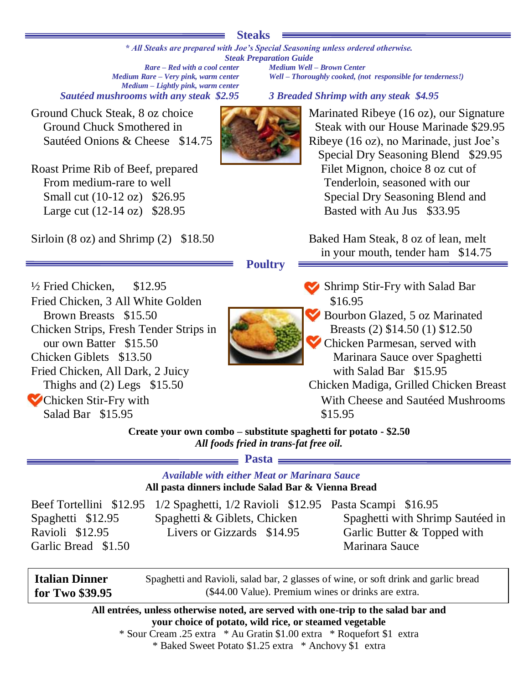## **Steaks**

*\* All Steaks are prepared with Joe's Special Seasoning unless ordered otherwise. Steak Preparation Guide*

*Rare – Red with a cool center Medium Well – Brown Center Medium – Lightly pink, warm center Sautéed mushrooms with any steak \$2.95 3 Breaded Shrimp with any steak \$4.95*

Ground Chuck Steak, 8 oz choice Ground Chuck Smothered in Sautéed Onions & Cheese \$14.75

Roast Prime Rib of Beef, prepared From medium-rare to well Small cut (10-12 oz) \$26.95 Large cut (12-14 oz) \$28.95

Sirloin (8 oz) and Shrimp (2) \$18.50 Baked Ham Steak, 8 oz of lean, melt

*Well – Thoroughly cooked, (not responsible for tenderness!)* 

Marinated Ribeye (16 oz), our Signature Steak with our House Marinade \$29.95 Ribeye (16 oz), no Marinade, just Joe's Special Dry Seasoning Blend \$29.95 Filet Mignon, choice 8 oz cut of Tenderloin, seasoned with our Special Dry Seasoning Blend and Basted with Au Jus \$33.95

in your mouth, tender ham \$14.75

## **Poultry**

<sup>1</sup>/<sub>2</sub> Fried Chicken, \$12.95 *Shrimp Stir-Fry with Salad Bar* **Shrimp Stir-Fry with Salad Bar** Fried Chicken, 3 All White Golden Brown Breasts \$15.50 Chicken Strips, Fresh Tender Strips in our own Batter \$15.50 Chicken Giblets \$13.50 Fried Chicken, All Dark, 2 Juicy Thighs and  $(2)$  Legs  $$15.50$  Chicken Stir-Fry with Salad Bar \$15.95



\$16.95

- Bourbon Glazed, 5 oz Marinated Breasts (2) \$14.50 (1) \$12.50
	- Chicken Parmesan, served with Marinara Sauce over Spaghetti with Salad Bar \$15.95

Chicken Madiga, Grilled Chicken Breast With Cheese and Sautéed Mushrooms \$15.95

**Create your own combo – substitute spaghetti for potato - \$2.50** *All foods fried in trans-fat free oil.*

**Pasta**

# *Available with either Meat or Marinara Sauce* **All pasta dinners include Salad Bar & Vienna Bread**

|                     | Beef Tortellini \$12.95 1/2 Spaghetti, 1/2 Ravioli \$12.95 Pasta Scampi \$16.95 |                                  |
|---------------------|---------------------------------------------------------------------------------|----------------------------------|
| Spaghetti \$12.95   | Spaghetti & Giblets, Chicken                                                    | Spaghetti with Shrimp Sautéed in |
| Ravioli \$12.95     | Livers or Gizzards \$14.95                                                      | Garlic Butter & Topped with      |
| Garlic Bread \$1.50 |                                                                                 | Marinara Sauce                   |
|                     |                                                                                 |                                  |

**Italian Dinner for Two \$39.95 .95** Spaghetti and Ravioli, salad bar, 2 glasses of wine, or soft drink and garlic bread (\$44.00 Value). Premium wines or drinks are extra.

> **All entrées, unless otherwise noted, are served with one-trip to the salad bar and your choice of potato, wild rice, or steamed vegetable** \* Sour Cream .25 extra \* Au Gratin \$1.00 extra \* Roquefort \$1 extra

> > \* Baked Sweet Potato \$1.25 extra \* Anchovy \$1 extra